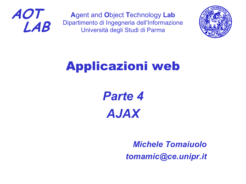

**A**gent and **O**bject **T**echnology **Lab** Dipartimento di Ingegneria dell'Informazione Università degli Studi di Parma



# Applicazioni web

*Parte 4 AJAX*

> *Michele Tomaiuolo tomamic@ce.unipr.it*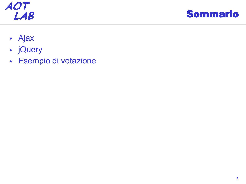# **AOT**



- Ajax
- jQuery
- Esempio di votazione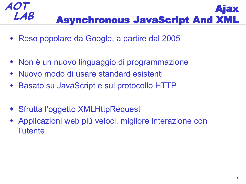#### **AOT LAB** Ajax Asynchronous JavaScript And XML

- Reso popolare da Google, a partire dal 2005
- Non è un nuovo linguaggio di programmazione
- Nuovo modo di usare standard esistenti
- Basato su JavaScript e sul protocollo HTTP
- Sfrutta l'oggetto XMLHttpRequest
- Applicazioni web più veloci, migliore interazione con l'utente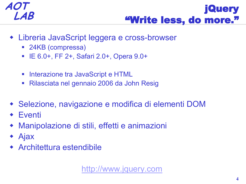jQuery "Write less, do more."

- Libreria JavaScript leggera e cross-browser
	- 24KB (compressa)
	- IE 6.0+, FF 2+, Safari 2.0+, Opera 9.0+
	- Interazione tra JavaScript e HTML
	- Rilasciata nel gennaio 2006 da John Resig
- Selezione, navigazione e modifica di elementi DOM
- Eventi
- Manipolazione di stili, effetti e animazioni
- Ajax
- Architettura estendibile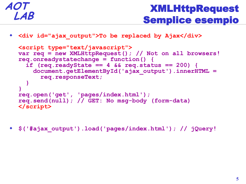## XMLHttpRequest Semplice esempio

**<div id="ajax\_output">To be replaced by Ajax</div>**

```
<script type="text/javascript">
var req = new XMLHttpRequest(); // Not on all browsers!
req.onreadystatechange = function() {
  if (req.readyState == 4 && req.status == 200) {
    document.getElementById('ajax_output').innerHTML =
      req.responseText;
  }
}
req.open('get', 'pages/index.html');
req.send(null); // GET: No msg-body (form-data) 
</script>
```
**\$('#ajax\_output').load('pages/index.html'); // jQuery!**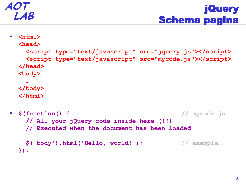```
jQuery
Schema pagina
```

```
 <html>
  <head>
   <script type="text/javascript" src="jquery.js"></script>
   <script type="text/javascript" src="mycode.js"></script>
  </head>
  <body>
    …
  </body>
  </html>
 $(function() { // mycode.js
    // All your jQuery code inside here (!!)
    // Executed when the document has been loaded
    $('body').html('Hello, world!'); // example…
  });
```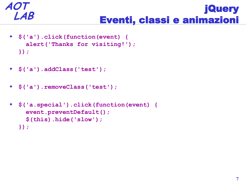# **jQuery** Eventi, classi e animazioni

- **\$('a').click(function(event) { alert('Thanks for visiting!'); });**
- **\$('a').addClass('test');**
- **\$('a').removeClass('test');**

```
 $('a.special').click(function(event) {
    event.preventDefault();
    $(this).hide('slow');
  });
```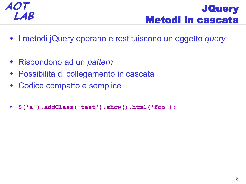**JQuery** Metodi in cascata

- I metodi jQuery operano e restituiscono un oggetto *query*
- Rispondono ad un *pattern*
- Possibilità di collegamento in cascata
- Codice compatto e semplice
- **\$('a').addClass('test').show().html('foo');**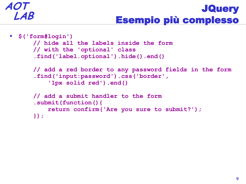```
 $('form#login')
      // hide all the labels inside the form
      // with the 'optional' class
      .find('label.optional').hide().end()
      // add a red border to any password fields in the form
      .find('input:password').css('border',
          '1px solid red').end()
      // add a submit handler to the form
      .submit(function(){
          return confirm('Are you sure to submit?');
      });
```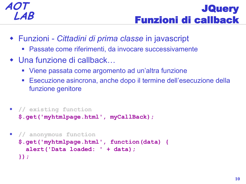**JQuery** Funzioni di callback

- Funzioni *Cittadini di prima classe* in javascript
	- Passate come riferimenti, da invocare successivamente
- Una funzione di callback…
	- Viene passata come argomento ad un'altra funzione
	- Esecuzione asincrona, anche dopo il termine dell'esecuzione della funzione genitore
- **// existing function \$.get('myhtmlpage.html', myCallBack);**

```
 // anonymous function
  $.get('myhtmlpage.html', function(data) {
    alert('Data loaded: ' + data);
  });
```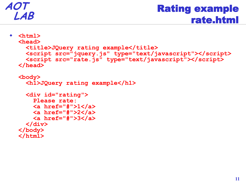# Rating example rate.html

```
 <html>
  <head>
    <title>JQuery rating example</title>
    <script src="jquery.js" type="text/javascript"></script>
    <script src="rate.js" type="text/javascript"></script>
  </head>
  <body>
    <h1>JQuery rating example</h1>
    <div id="rating">
      Please rate:
      <a href="#">1</a>
      <a href="#">2</a>
      <a href="#">3</a>
    </div>
  </body>
  </html>
```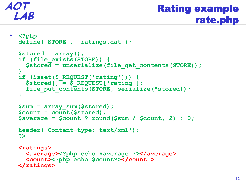# Rating example rate.php

```
 <?php
  define('STORE', 'ratings.dat');
  $stored = array();
  if (file_exists(STORE)) {
    $stored = unserialize(file_get_contents(STORE));
  }
  if (isset($_REQUEST['rating'])) {
    $stored[] = $_REQUEST['rating'];
    file_put_contents(STORE, serialize($stored));
  }
  $sum = array_sum($stored);
  $count = count($stored);
  $average = $count ? round($sum / $count, 2) : 0;
  header('Content-type: text/xml');
  ?>
  <ratings>
    <average><?php echo $average ?></average>
    <count><?php echo $count?></count >
  </ratings>
```